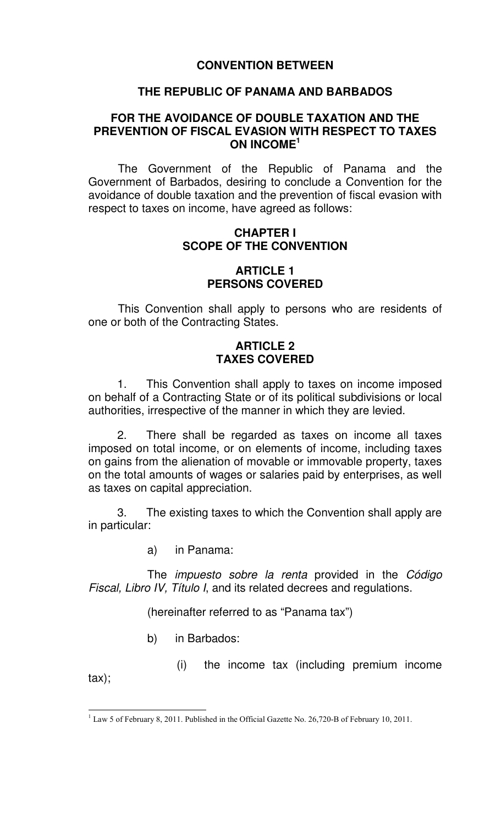# **CONVENTION BETWEEN**

## **THE REPUBLIC OF PANAMA AND BARBADOS**

## **FOR THE AVOIDANCE OF DOUBLE TAXATION AND THE PREVENTION OF FISCAL EVASION WITH RESPECT TO TAXES ON INCOME<sup>1</sup>**

The Government of the Republic of Panama and the Government of Barbados, desiring to conclude a Convention for the avoidance of double taxation and the prevention of fiscal evasion with respect to taxes on income, have agreed as follows:

# **CHAPTER I SCOPE OF THE CONVENTION**

### **ARTICLE 1 PERSONS COVERED**

This Convention shall apply to persons who are residents of one or both of the Contracting States.

# **ARTICLE 2 TAXES COVERED**

 1. This Convention shall apply to taxes on income imposed on behalf of a Contracting State or of its political subdivisions or local authorities, irrespective of the manner in which they are levied.

 2. There shall be regarded as taxes on income all taxes imposed on total income, or on elements of income, including taxes on gains from the alienation of movable or immovable property, taxes on the total amounts of wages or salaries paid by enterprises, as well as taxes on capital appreciation.

 3. The existing taxes to which the Convention shall apply are in particular:

a) in Panama:

The *impuesto sobre la renta* provided in the Código Fiscal, Libro IV, Título I, and its related decrees and regulations.

(hereinafter referred to as "Panama tax")

- b) in Barbados:
- (i) the income tax (including premium income

tax);

 1 Law 5 of February 8, 2011. Published in the Official Gazette No. 26,720-B of February 10, 2011.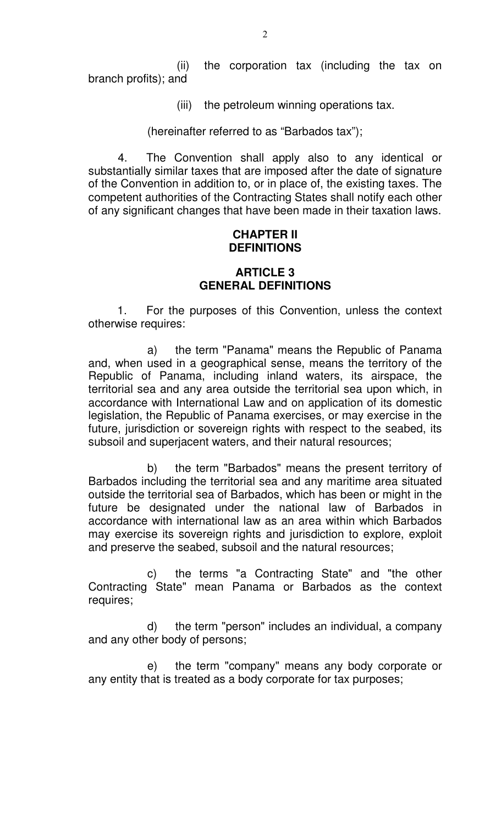(ii) the corporation tax (including the tax on branch profits); and

(iii) the petroleum winning operations tax.

(hereinafter referred to as "Barbados tax");

4. The Convention shall apply also to any identical or substantially similar taxes that are imposed after the date of signature of the Convention in addition to, or in place of, the existing taxes. The competent authorities of the Contracting States shall notify each other of any significant changes that have been made in their taxation laws.

## **CHAPTER II DEFINITIONS**

# **ARTICLE 3 GENERAL DEFINITIONS**

 1. For the purposes of this Convention, unless the context otherwise requires:

a) the term "Panama" means the Republic of Panama and, when used in a geographical sense, means the territory of the Republic of Panama, including inland waters, its airspace, the territorial sea and any area outside the territorial sea upon which, in accordance with International Law and on application of its domestic legislation, the Republic of Panama exercises, or may exercise in the future, jurisdiction or sovereign rights with respect to the seabed, its subsoil and superjacent waters, and their natural resources;

b) the term "Barbados" means the present territory of Barbados including the territorial sea and any maritime area situated outside the territorial sea of Barbados, which has been or might in the future be designated under the national law of Barbados in accordance with international law as an area within which Barbados may exercise its sovereign rights and jurisdiction to explore, exploit and preserve the seabed, subsoil and the natural resources;

c) the terms "a Contracting State" and "the other Contracting State" mean Panama or Barbados as the context requires;

d) the term "person" includes an individual, a company and any other body of persons;

e) the term "company" means any body corporate or any entity that is treated as a body corporate for tax purposes;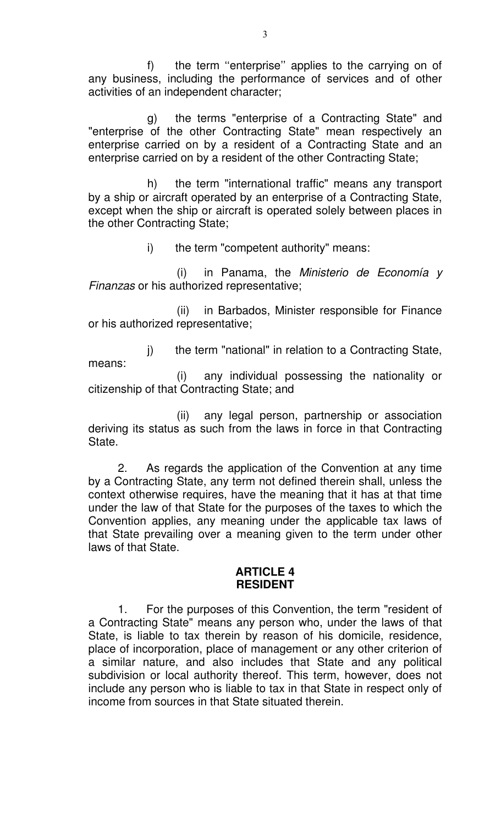f) the term "enterprise" applies to the carrying on of any business, including the performance of services and of other activities of an independent character;

g) the terms "enterprise of a Contracting State" and "enterprise of the other Contracting State" mean respectively an enterprise carried on by a resident of a Contracting State and an enterprise carried on by a resident of the other Contracting State;

h) the term "international traffic" means any transport by a ship or aircraft operated by an enterprise of a Contracting State, except when the ship or aircraft is operated solely between places in the other Contracting State;

i) the term "competent authority" means:

(i) in Panama, the Ministerio de Economía  $y$ Finanzas or his authorized representative;

(ii) in Barbados, Minister responsible for Finance or his authorized representative;

j) the term "national" in relation to a Contracting State, means:

(i) any individual possessing the nationality or citizenship of that Contracting State; and

(ii) any legal person, partnership or association deriving its status as such from the laws in force in that Contracting State.

2. As regards the application of the Convention at any time by a Contracting State, any term not defined therein shall, unless the context otherwise requires, have the meaning that it has at that time under the law of that State for the purposes of the taxes to which the Convention applies, any meaning under the applicable tax laws of that State prevailing over a meaning given to the term under other laws of that State.

### **ARTICLE 4 RESIDENT**

1. For the purposes of this Convention, the term "resident of a Contracting State" means any person who, under the laws of that State, is liable to tax therein by reason of his domicile, residence, place of incorporation, place of management or any other criterion of a similar nature, and also includes that State and any political subdivision or local authority thereof. This term, however, does not include any person who is liable to tax in that State in respect only of income from sources in that State situated therein.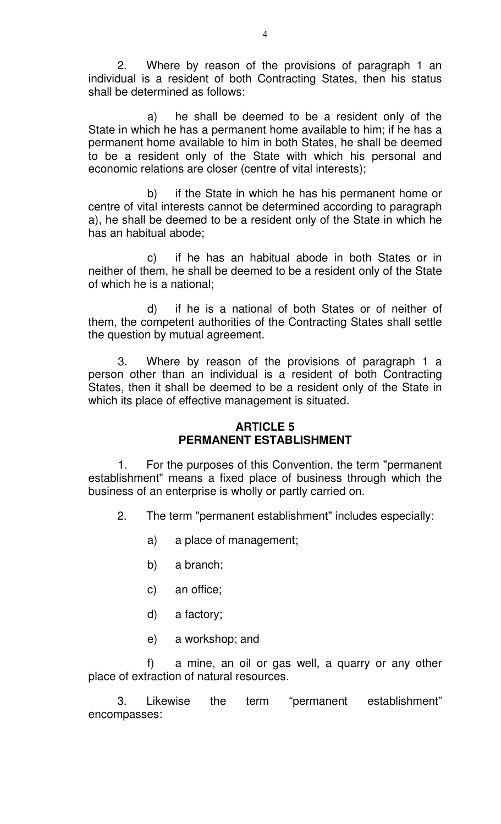2. Where by reason of the provisions of paragraph 1 an individual is a resident of both Contracting States, then his status shall be determined as follows:

a) he shall be deemed to be a resident only of the State in which he has a permanent home available to him; if he has a permanent home available to him in both States, he shall be deemed to be a resident only of the State with which his personal and economic relations are closer (centre of vital interests);

b) if the State in which he has his permanent home or centre of vital interests cannot be determined according to paragraph a), he shall be deemed to be a resident only of the State in which he has an habitual abode;

c) if he has an habitual abode in both States or in neither of them, he shall be deemed to be a resident only of the State of which he is a national;

d) if he is a national of both States or of neither of them, the competent authorities of the Contracting States shall settle the question by mutual agreement.

3. Where by reason of the provisions of paragraph 1 a person other than an individual is a resident of both Contracting States, then it shall be deemed to be a resident only of the State in which its place of effective management is situated.

### **ARTICLE 5 PERMANENT ESTABLISHMENT**

1. For the purposes of this Convention, the term "permanent establishment" means a fixed place of business through which the business of an enterprise is wholly or partly carried on.

- 2. The term "permanent establishment" includes especially:
	- a) a place of management;
	- b) a branch;
	- c) an office;
	- d) a factory;
	- e) a workshop; and

f) a mine, an oil or gas well, a quarry or any other place of extraction of natural resources.

 3. Likewise the term "permanent establishment" encompasses: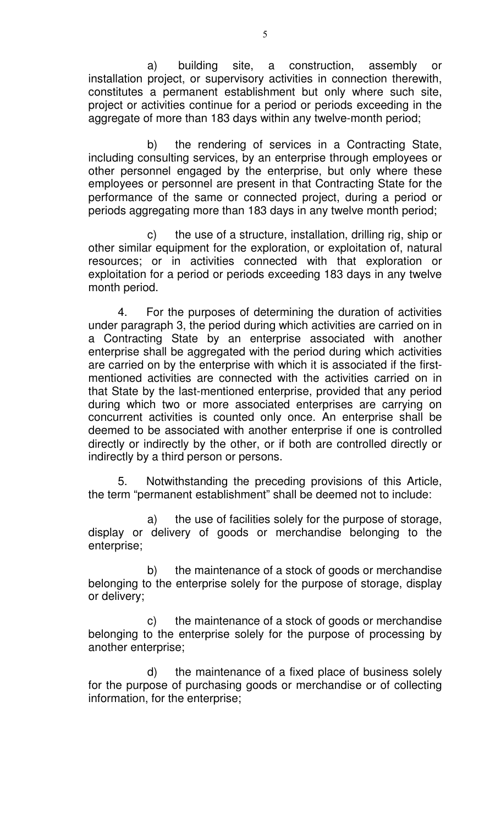a) building site, a construction, assembly or installation project, or supervisory activities in connection therewith, constitutes a permanent establishment but only where such site, project or activities continue for a period or periods exceeding in the aggregate of more than 183 days within any twelve-month period;

b) the rendering of services in a Contracting State, including consulting services, by an enterprise through employees or other personnel engaged by the enterprise, but only where these employees or personnel are present in that Contracting State for the performance of the same or connected project, during a period or periods aggregating more than 183 days in any twelve month period;

c) the use of a structure, installation, drilling rig, ship or other similar equipment for the exploration, or exploitation of, natural resources; or in activities connected with that exploration or exploitation for a period or periods exceeding 183 days in any twelve month period.

4. For the purposes of determining the duration of activities under paragraph 3, the period during which activities are carried on in a Contracting State by an enterprise associated with another enterprise shall be aggregated with the period during which activities are carried on by the enterprise with which it is associated if the firstmentioned activities are connected with the activities carried on in that State by the last-mentioned enterprise, provided that any period during which two or more associated enterprises are carrying on concurrent activities is counted only once. An enterprise shall be deemed to be associated with another enterprise if one is controlled directly or indirectly by the other, or if both are controlled directly or indirectly by a third person or persons.

5. Notwithstanding the preceding provisions of this Article, the term "permanent establishment" shall be deemed not to include:

a) the use of facilities solely for the purpose of storage, display or delivery of goods or merchandise belonging to the enterprise;

b) the maintenance of a stock of goods or merchandise belonging to the enterprise solely for the purpose of storage, display or delivery;

c) the maintenance of a stock of goods or merchandise belonging to the enterprise solely for the purpose of processing by another enterprise;

d) the maintenance of a fixed place of business solely for the purpose of purchasing goods or merchandise or of collecting information, for the enterprise;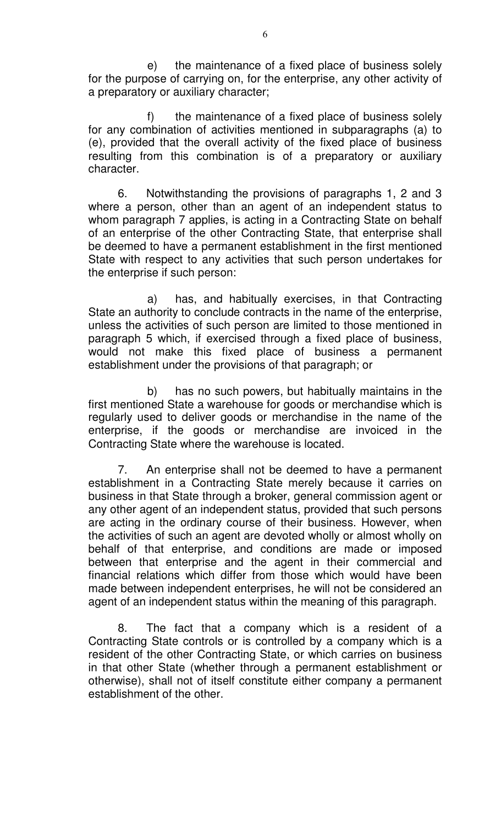e) the maintenance of a fixed place of business solely for the purpose of carrying on, for the enterprise, any other activity of a preparatory or auxiliary character;

f) the maintenance of a fixed place of business solely for any combination of activities mentioned in subparagraphs (a) to (e), provided that the overall activity of the fixed place of business resulting from this combination is of a preparatory or auxiliary character.

6. Notwithstanding the provisions of paragraphs 1, 2 and 3 where a person, other than an agent of an independent status to whom paragraph 7 applies, is acting in a Contracting State on behalf of an enterprise of the other Contracting State, that enterprise shall be deemed to have a permanent establishment in the first mentioned State with respect to any activities that such person undertakes for the enterprise if such person:

a) has, and habitually exercises, in that Contracting State an authority to conclude contracts in the name of the enterprise, unless the activities of such person are limited to those mentioned in paragraph 5 which, if exercised through a fixed place of business, would not make this fixed place of business a permanent establishment under the provisions of that paragraph; or

b) has no such powers, but habitually maintains in the first mentioned State a warehouse for goods or merchandise which is regularly used to deliver goods or merchandise in the name of the enterprise, if the goods or merchandise are invoiced in the Contracting State where the warehouse is located.

7. An enterprise shall not be deemed to have a permanent establishment in a Contracting State merely because it carries on business in that State through a broker, general commission agent or any other agent of an independent status, provided that such persons are acting in the ordinary course of their business. However, when the activities of such an agent are devoted wholly or almost wholly on behalf of that enterprise, and conditions are made or imposed between that enterprise and the agent in their commercial and financial relations which differ from those which would have been made between independent enterprises, he will not be considered an agent of an independent status within the meaning of this paragraph.

8. The fact that a company which is a resident of a Contracting State controls or is controlled by a company which is a resident of the other Contracting State, or which carries on business in that other State (whether through a permanent establishment or otherwise), shall not of itself constitute either company a permanent establishment of the other.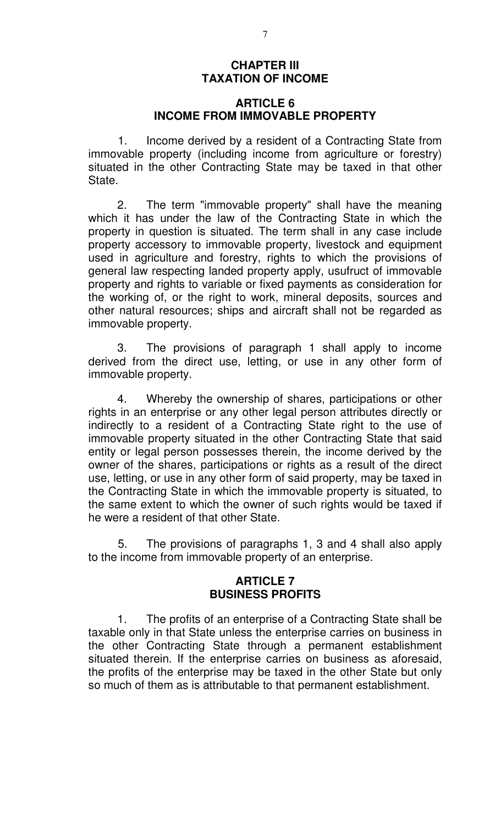# **CHAPTER III TAXATION OF INCOME**

## **ARTICLE 6 INCOME FROM IMMOVABLE PROPERTY**

1. Income derived by a resident of a Contracting State from immovable property (including income from agriculture or forestry) situated in the other Contracting State may be taxed in that other State.

 2. The term "immovable property" shall have the meaning which it has under the law of the Contracting State in which the property in question is situated. The term shall in any case include property accessory to immovable property, livestock and equipment used in agriculture and forestry, rights to which the provisions of general law respecting landed property apply, usufruct of immovable property and rights to variable or fixed payments as consideration for the working of, or the right to work, mineral deposits, sources and other natural resources; ships and aircraft shall not be regarded as immovable property.

 3. The provisions of paragraph 1 shall apply to income derived from the direct use, letting, or use in any other form of immovable property.

 4. Whereby the ownership of shares, participations or other rights in an enterprise or any other legal person attributes directly or indirectly to a resident of a Contracting State right to the use of immovable property situated in the other Contracting State that said entity or legal person possesses therein, the income derived by the owner of the shares, participations or rights as a result of the direct use, letting, or use in any other form of said property, may be taxed in the Contracting State in which the immovable property is situated, to the same extent to which the owner of such rights would be taxed if he were a resident of that other State.

5. The provisions of paragraphs 1, 3 and 4 shall also apply to the income from immovable property of an enterprise.

#### **ARTICLE 7 BUSINESS PROFITS**

 1. The profits of an enterprise of a Contracting State shall be taxable only in that State unless the enterprise carries on business in the other Contracting State through a permanent establishment situated therein. If the enterprise carries on business as aforesaid, the profits of the enterprise may be taxed in the other State but only so much of them as is attributable to that permanent establishment.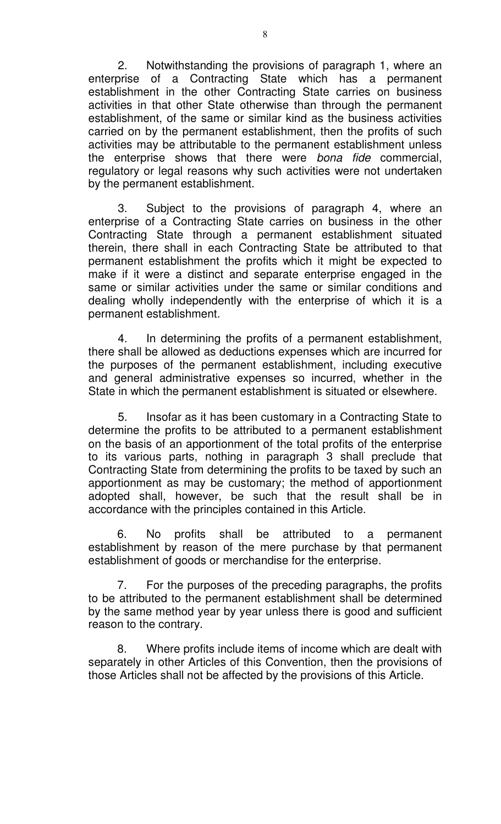2. Notwithstanding the provisions of paragraph 1, where an enterprise of a Contracting State which has a permanent establishment in the other Contracting State carries on business activities in that other State otherwise than through the permanent establishment, of the same or similar kind as the business activities carried on by the permanent establishment, then the profits of such activities may be attributable to the permanent establishment unless the enterprise shows that there were bona fide commercial, regulatory or legal reasons why such activities were not undertaken by the permanent establishment.

3. Subject to the provisions of paragraph 4, where an enterprise of a Contracting State carries on business in the other Contracting State through a permanent establishment situated therein, there shall in each Contracting State be attributed to that permanent establishment the profits which it might be expected to make if it were a distinct and separate enterprise engaged in the same or similar activities under the same or similar conditions and dealing wholly independently with the enterprise of which it is a permanent establishment.

4. In determining the profits of a permanent establishment, there shall be allowed as deductions expenses which are incurred for the purposes of the permanent establishment, including executive and general administrative expenses so incurred, whether in the State in which the permanent establishment is situated or elsewhere.

5. Insofar as it has been customary in a Contracting State to determine the profits to be attributed to a permanent establishment on the basis of an apportionment of the total profits of the enterprise to its various parts, nothing in paragraph 3 shall preclude that Contracting State from determining the profits to be taxed by such an apportionment as may be customary; the method of apportionment adopted shall, however, be such that the result shall be in accordance with the principles contained in this Article.

 6. No profits shall be attributed to a permanent establishment by reason of the mere purchase by that permanent establishment of goods or merchandise for the enterprise.

 7. For the purposes of the preceding paragraphs, the profits to be attributed to the permanent establishment shall be determined by the same method year by year unless there is good and sufficient reason to the contrary.

 8. Where profits include items of income which are dealt with separately in other Articles of this Convention, then the provisions of those Articles shall not be affected by the provisions of this Article.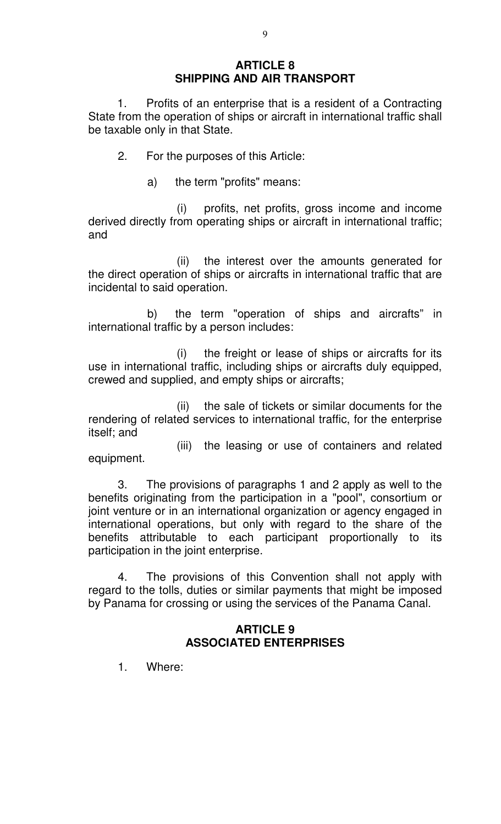# **ARTICLE 8 SHIPPING AND AIR TRANSPORT**

 1. Profits of an enterprise that is a resident of a Contracting State from the operation of ships or aircraft in international traffic shall be taxable only in that State.

- 2. For the purposes of this Article:
	- a) the term "profits" means:

(i) profits, net profits, gross income and income derived directly from operating ships or aircraft in international traffic; and

(ii) the interest over the amounts generated for the direct operation of ships or aircrafts in international traffic that are incidental to said operation.

b) the term "operation of ships and aircrafts" in international traffic by a person includes:

(i) the freight or lease of ships or aircrafts for its use in international traffic, including ships or aircrafts duly equipped, crewed and supplied, and empty ships or aircrafts;

(ii) the sale of tickets or similar documents for the rendering of related services to international traffic, for the enterprise itself; and

(iii) the leasing or use of containers and related equipment.

3. The provisions of paragraphs 1 and 2 apply as well to the benefits originating from the participation in a "pool", consortium or joint venture or in an international organization or agency engaged in international operations, but only with regard to the share of the benefits attributable to each participant proportionally to its participation in the joint enterprise.

4. The provisions of this Convention shall not apply with regard to the tolls, duties or similar payments that might be imposed by Panama for crossing or using the services of the Panama Canal.

# **ARTICLE 9 ASSOCIATED ENTERPRISES**

1. Where: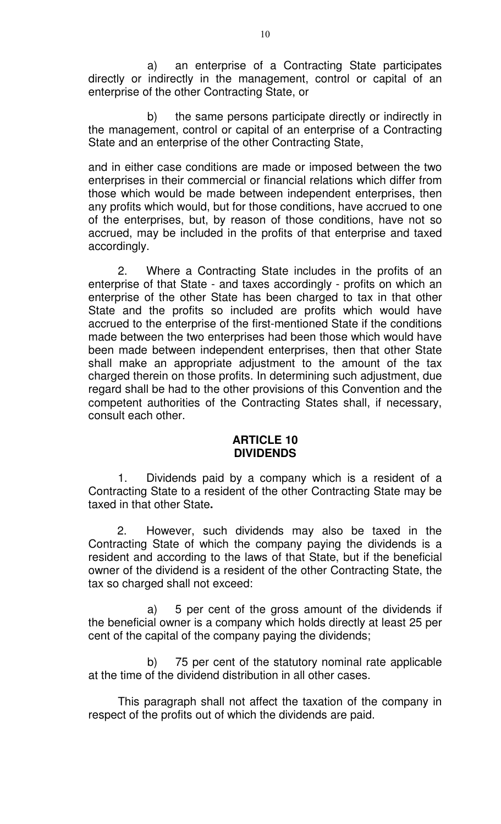a) an enterprise of a Contracting State participates directly or indirectly in the management, control or capital of an enterprise of the other Contracting State, or

b) the same persons participate directly or indirectly in the management, control or capital of an enterprise of a Contracting State and an enterprise of the other Contracting State,

and in either case conditions are made or imposed between the two enterprises in their commercial or financial relations which differ from those which would be made between independent enterprises, then any profits which would, but for those conditions, have accrued to one of the enterprises, but, by reason of those conditions, have not so accrued, may be included in the profits of that enterprise and taxed accordingly.

2. Where a Contracting State includes in the profits of an enterprise of that State - and taxes accordingly - profits on which an enterprise of the other State has been charged to tax in that other State and the profits so included are profits which would have accrued to the enterprise of the first-mentioned State if the conditions made between the two enterprises had been those which would have been made between independent enterprises, then that other State shall make an appropriate adjustment to the amount of the tax charged therein on those profits. In determining such adjustment, due regard shall be had to the other provisions of this Convention and the competent authorities of the Contracting States shall, if necessary, consult each other.

### **ARTICLE 10 DIVIDENDS**

1. Dividends paid by a company which is a resident of a Contracting State to a resident of the other Contracting State may be taxed in that other State**.** 

 2. However, such dividends may also be taxed in the Contracting State of which the company paying the dividends is a resident and according to the laws of that State, but if the beneficial owner of the dividend is a resident of the other Contracting State, the tax so charged shall not exceed:

a) 5 per cent of the gross amount of the dividends if the beneficial owner is a company which holds directly at least 25 per cent of the capital of the company paying the dividends;

b) 75 per cent of the statutory nominal rate applicable at the time of the dividend distribution in all other cases.

This paragraph shall not affect the taxation of the company in respect of the profits out of which the dividends are paid.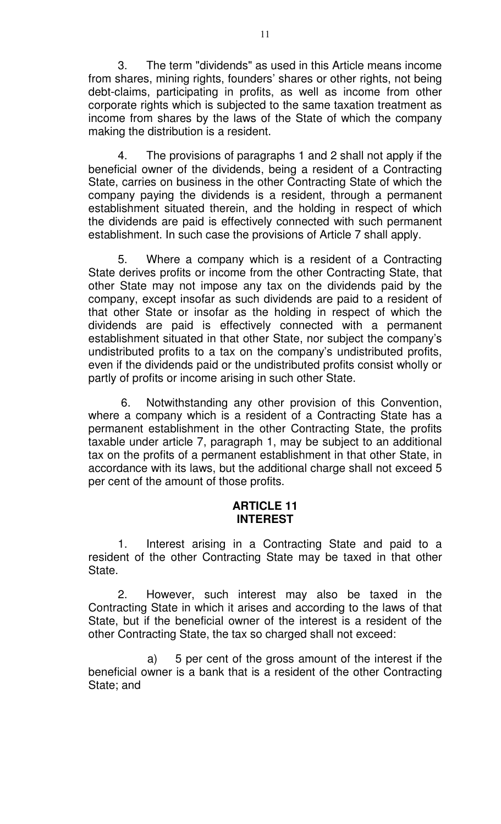3. The term "dividends" as used in this Article means income from shares, mining rights, founders' shares or other rights, not being debt-claims, participating in profits, as well as income from other corporate rights which is subjected to the same taxation treatment as income from shares by the laws of the State of which the company making the distribution is a resident.

4. The provisions of paragraphs 1 and 2 shall not apply if the beneficial owner of the dividends, being a resident of a Contracting State, carries on business in the other Contracting State of which the company paying the dividends is a resident, through a permanent establishment situated therein, and the holding in respect of which the dividends are paid is effectively connected with such permanent establishment. In such case the provisions of Article 7 shall apply.

5. Where a company which is a resident of a Contracting State derives profits or income from the other Contracting State, that other State may not impose any tax on the dividends paid by the company, except insofar as such dividends are paid to a resident of that other State or insofar as the holding in respect of which the dividends are paid is effectively connected with a permanent establishment situated in that other State, nor subject the company's undistributed profits to a tax on the company's undistributed profits, even if the dividends paid or the undistributed profits consist wholly or partly of profits or income arising in such other State.

 6. Notwithstanding any other provision of this Convention, where a company which is a resident of a Contracting State has a permanent establishment in the other Contracting State, the profits taxable under article 7, paragraph 1, may be subject to an additional tax on the profits of a permanent establishment in that other State, in accordance with its laws, but the additional charge shall not exceed 5 per cent of the amount of those profits.

### **ARTICLE 11 INTEREST**

1. Interest arising in a Contracting State and paid to a resident of the other Contracting State may be taxed in that other State.

2. However, such interest may also be taxed in the Contracting State in which it arises and according to the laws of that State, but if the beneficial owner of the interest is a resident of the other Contracting State, the tax so charged shall not exceed:

a) 5 per cent of the gross amount of the interest if the beneficial owner is a bank that is a resident of the other Contracting State; and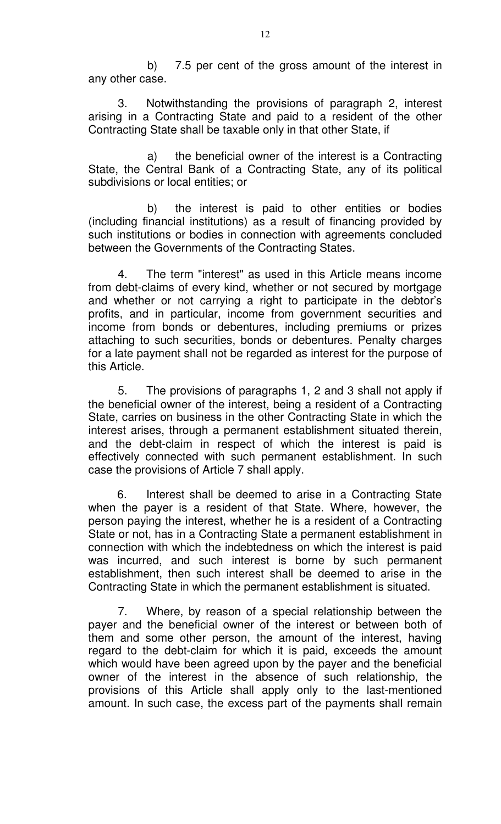b) 7.5 per cent of the gross amount of the interest in any other case.

3. Notwithstanding the provisions of paragraph 2, interest arising in a Contracting State and paid to a resident of the other Contracting State shall be taxable only in that other State, if

a) the beneficial owner of the interest is a Contracting State, the Central Bank of a Contracting State, any of its political subdivisions or local entities; or

b) the interest is paid to other entities or bodies (including financial institutions) as a result of financing provided by such institutions or bodies in connection with agreements concluded between the Governments of the Contracting States.

4. The term "interest" as used in this Article means income from debt-claims of every kind, whether or not secured by mortgage and whether or not carrying a right to participate in the debtor's profits, and in particular, income from government securities and income from bonds or debentures, including premiums or prizes attaching to such securities, bonds or debentures. Penalty charges for a late payment shall not be regarded as interest for the purpose of this Article.

5. The provisions of paragraphs 1, 2 and 3 shall not apply if the beneficial owner of the interest, being a resident of a Contracting State, carries on business in the other Contracting State in which the interest arises, through a permanent establishment situated therein, and the debt-claim in respect of which the interest is paid is effectively connected with such permanent establishment. In such case the provisions of Article 7 shall apply.

 6. Interest shall be deemed to arise in a Contracting State when the payer is a resident of that State. Where, however, the person paying the interest, whether he is a resident of a Contracting State or not, has in a Contracting State a permanent establishment in connection with which the indebtedness on which the interest is paid was incurred, and such interest is borne by such permanent establishment, then such interest shall be deemed to arise in the Contracting State in which the permanent establishment is situated.

7. Where, by reason of a special relationship between the payer and the beneficial owner of the interest or between both of them and some other person, the amount of the interest, having regard to the debt-claim for which it is paid, exceeds the amount which would have been agreed upon by the payer and the beneficial owner of the interest in the absence of such relationship, the provisions of this Article shall apply only to the last-mentioned amount. In such case, the excess part of the payments shall remain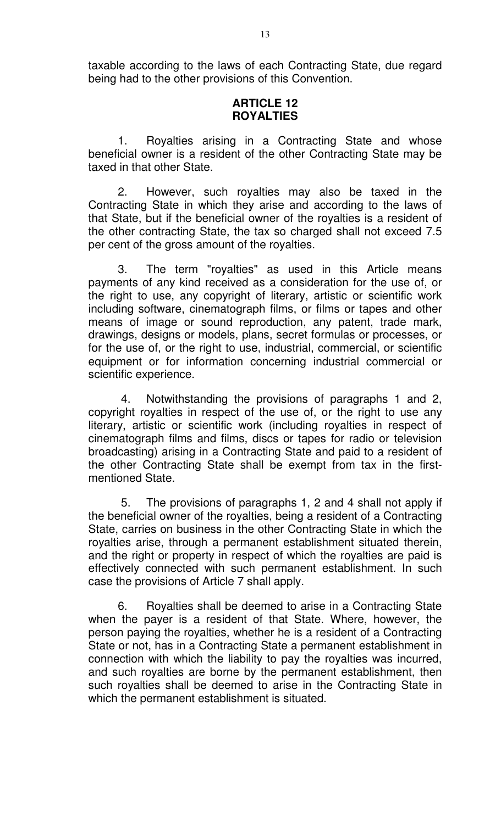taxable according to the laws of each Contracting State, due regard being had to the other provisions of this Convention.

#### **ARTICLE 12 ROYALTIES**

1. Royalties arising in a Contracting State and whose beneficial owner is a resident of the other Contracting State may be taxed in that other State.

2. However, such royalties may also be taxed in the Contracting State in which they arise and according to the laws of that State, but if the beneficial owner of the royalties is a resident of the other contracting State, the tax so charged shall not exceed 7.5 per cent of the gross amount of the royalties.

3. The term "royalties" as used in this Article means payments of any kind received as a consideration for the use of, or the right to use, any copyright of literary, artistic or scientific work including software, cinematograph films, or films or tapes and other means of image or sound reproduction, any patent, trade mark, drawings, designs or models, plans, secret formulas or processes, or for the use of, or the right to use, industrial, commercial, or scientific equipment or for information concerning industrial commercial or scientific experience.

 4. Notwithstanding the provisions of paragraphs 1 and 2, copyright royalties in respect of the use of, or the right to use any literary, artistic or scientific work (including royalties in respect of cinematograph films and films, discs or tapes for radio or television broadcasting) arising in a Contracting State and paid to a resident of the other Contracting State shall be exempt from tax in the firstmentioned State.

 5. The provisions of paragraphs 1, 2 and 4 shall not apply if the beneficial owner of the royalties, being a resident of a Contracting State, carries on business in the other Contracting State in which the royalties arise, through a permanent establishment situated therein, and the right or property in respect of which the royalties are paid is effectively connected with such permanent establishment. In such case the provisions of Article 7 shall apply.

6. Royalties shall be deemed to arise in a Contracting State when the payer is a resident of that State. Where, however, the person paying the royalties, whether he is a resident of a Contracting State or not, has in a Contracting State a permanent establishment in connection with which the liability to pay the royalties was incurred, and such royalties are borne by the permanent establishment, then such royalties shall be deemed to arise in the Contracting State in which the permanent establishment is situated.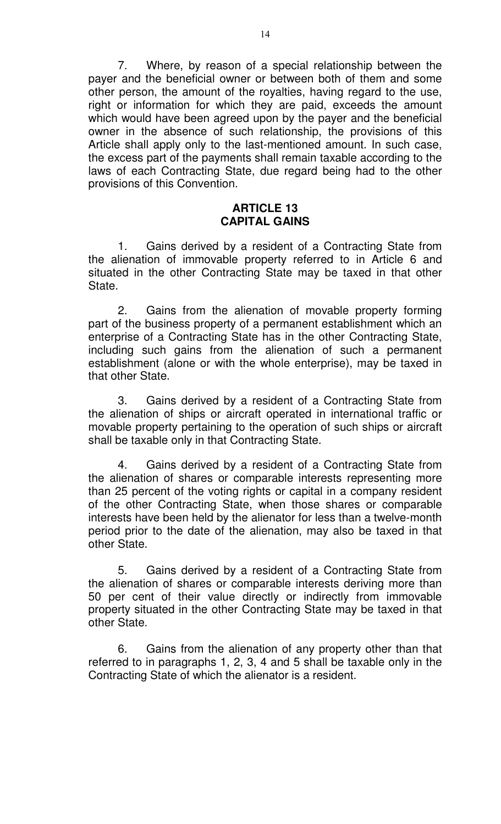7. Where, by reason of a special relationship between the payer and the beneficial owner or between both of them and some other person, the amount of the royalties, having regard to the use, right or information for which they are paid, exceeds the amount which would have been agreed upon by the payer and the beneficial owner in the absence of such relationship, the provisions of this Article shall apply only to the last-mentioned amount. In such case, the excess part of the payments shall remain taxable according to the laws of each Contracting State, due regard being had to the other provisions of this Convention.

## **ARTICLE 13 CAPITAL GAINS**

1. Gains derived by a resident of a Contracting State from the alienation of immovable property referred to in Article 6 and situated in the other Contracting State may be taxed in that other State.

2. Gains from the alienation of movable property forming part of the business property of a permanent establishment which an enterprise of a Contracting State has in the other Contracting State, including such gains from the alienation of such a permanent establishment (alone or with the whole enterprise), may be taxed in that other State.

3. Gains derived by a resident of a Contracting State from the alienation of ships or aircraft operated in international traffic or movable property pertaining to the operation of such ships or aircraft shall be taxable only in that Contracting State.

4. Gains derived by a resident of a Contracting State from the alienation of shares or comparable interests representing more than 25 percent of the voting rights or capital in a company resident of the other Contracting State, when those shares or comparable interests have been held by the alienator for less than a twelve-month period prior to the date of the alienation, may also be taxed in that other State.

5. Gains derived by a resident of a Contracting State from the alienation of shares or comparable interests deriving more than 50 per cent of their value directly or indirectly from immovable property situated in the other Contracting State may be taxed in that other State.

6. Gains from the alienation of any property other than that referred to in paragraphs 1, 2, 3, 4 and 5 shall be taxable only in the Contracting State of which the alienator is a resident.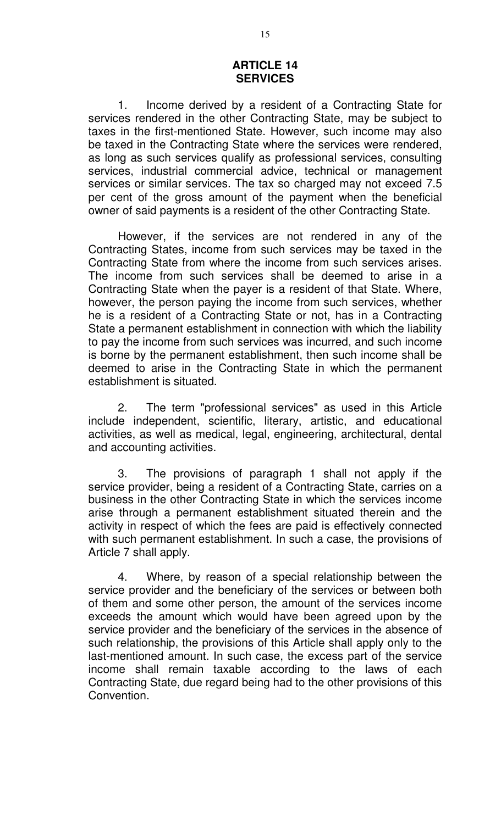### **ARTICLE 14 SERVICES**

1. Income derived by a resident of a Contracting State for services rendered in the other Contracting State, may be subject to taxes in the first-mentioned State. However, such income may also be taxed in the Contracting State where the services were rendered, as long as such services qualify as professional services, consulting services, industrial commercial advice, technical or management services or similar services. The tax so charged may not exceed 7.5 per cent of the gross amount of the payment when the beneficial owner of said payments is a resident of the other Contracting State.

However, if the services are not rendered in any of the Contracting States, income from such services may be taxed in the Contracting State from where the income from such services arises. The income from such services shall be deemed to arise in a Contracting State when the payer is a resident of that State. Where, however, the person paying the income from such services, whether he is a resident of a Contracting State or not, has in a Contracting State a permanent establishment in connection with which the liability to pay the income from such services was incurred, and such income is borne by the permanent establishment, then such income shall be deemed to arise in the Contracting State in which the permanent establishment is situated.

2. The term "professional services" as used in this Article include independent, scientific, literary, artistic, and educational activities, as well as medical, legal, engineering, architectural, dental and accounting activities.

3. The provisions of paragraph 1 shall not apply if the service provider, being a resident of a Contracting State, carries on a business in the other Contracting State in which the services income arise through a permanent establishment situated therein and the activity in respect of which the fees are paid is effectively connected with such permanent establishment. In such a case, the provisions of Article 7 shall apply.

4. Where, by reason of a special relationship between the service provider and the beneficiary of the services or between both of them and some other person, the amount of the services income exceeds the amount which would have been agreed upon by the service provider and the beneficiary of the services in the absence of such relationship, the provisions of this Article shall apply only to the last-mentioned amount. In such case, the excess part of the service income shall remain taxable according to the laws of each Contracting State, due regard being had to the other provisions of this Convention.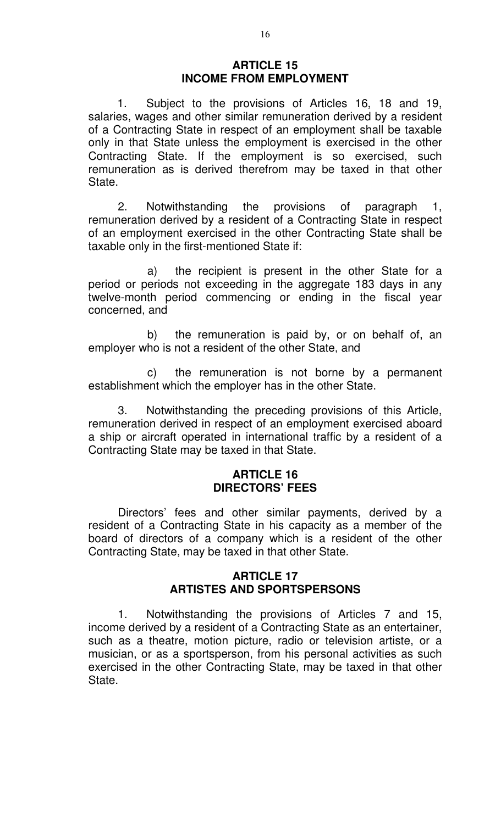#### **ARTICLE 15 INCOME FROM EMPLOYMENT**

1. Subject to the provisions of Articles 16, 18 and 19, salaries, wages and other similar remuneration derived by a resident of a Contracting State in respect of an employment shall be taxable only in that State unless the employment is exercised in the other Contracting State. If the employment is so exercised, such remuneration as is derived therefrom may be taxed in that other State.

2. Notwithstanding the provisions of paragraph 1, remuneration derived by a resident of a Contracting State in respect of an employment exercised in the other Contracting State shall be taxable only in the first-mentioned State if:

a) the recipient is present in the other State for a period or periods not exceeding in the aggregate 183 days in any twelve-month period commencing or ending in the fiscal year concerned, and

b) the remuneration is paid by, or on behalf of, an employer who is not a resident of the other State, and

c) the remuneration is not borne by a permanent establishment which the employer has in the other State.

3. Notwithstanding the preceding provisions of this Article, remuneration derived in respect of an employment exercised aboard a ship or aircraft operated in international traffic by a resident of a Contracting State may be taxed in that State.

### **ARTICLE 16 DIRECTORS' FEES**

Directors' fees and other similar payments, derived by a resident of a Contracting State in his capacity as a member of the board of directors of a company which is a resident of the other Contracting State, may be taxed in that other State.

### **ARTICLE 17 ARTISTES AND SPORTSPERSONS**

1. Notwithstanding the provisions of Articles 7 and 15, income derived by a resident of a Contracting State as an entertainer, such as a theatre, motion picture, radio or television artiste, or a musician, or as a sportsperson, from his personal activities as such exercised in the other Contracting State, may be taxed in that other State.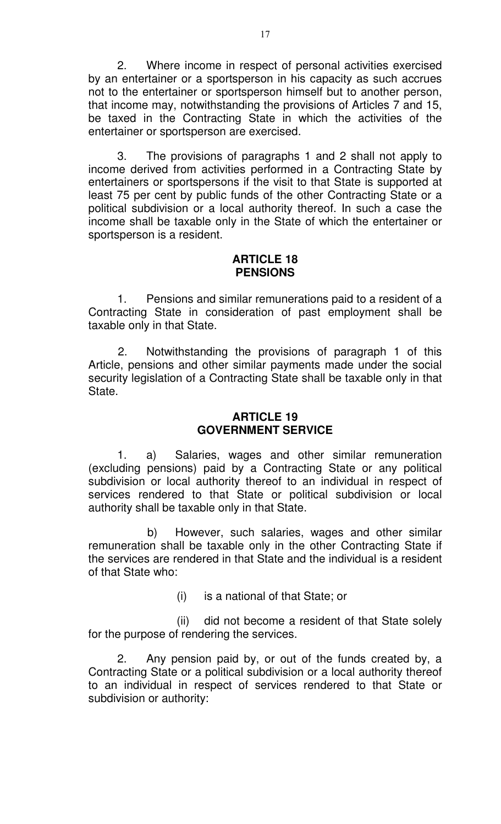2. Where income in respect of personal activities exercised by an entertainer or a sportsperson in his capacity as such accrues not to the entertainer or sportsperson himself but to another person, that income may, notwithstanding the provisions of Articles 7 and 15, be taxed in the Contracting State in which the activities of the entertainer or sportsperson are exercised.

 3. The provisions of paragraphs 1 and 2 shall not apply to income derived from activities performed in a Contracting State by entertainers or sportspersons if the visit to that State is supported at least 75 per cent by public funds of the other Contracting State or a political subdivision or a local authority thereof. In such a case the income shall be taxable only in the State of which the entertainer or sportsperson is a resident.

#### **ARTICLE 18 PENSIONS**

 1. Pensions and similar remunerations paid to a resident of a Contracting State in consideration of past employment shall be taxable only in that State.

2. Notwithstanding the provisions of paragraph 1 of this Article, pensions and other similar payments made under the social security legislation of a Contracting State shall be taxable only in that State.

# **ARTICLE 19 GOVERNMENT SERVICE**

 1. a) Salaries, wages and other similar remuneration (excluding pensions) paid by a Contracting State or any political subdivision or local authority thereof to an individual in respect of services rendered to that State or political subdivision or local authority shall be taxable only in that State.

b) However, such salaries, wages and other similar remuneration shall be taxable only in the other Contracting State if the services are rendered in that State and the individual is a resident of that State who:

(i) is a national of that State; or

(ii) did not become a resident of that State solely for the purpose of rendering the services.

 2. Any pension paid by, or out of the funds created by, a Contracting State or a political subdivision or a local authority thereof to an individual in respect of services rendered to that State or subdivision or authority: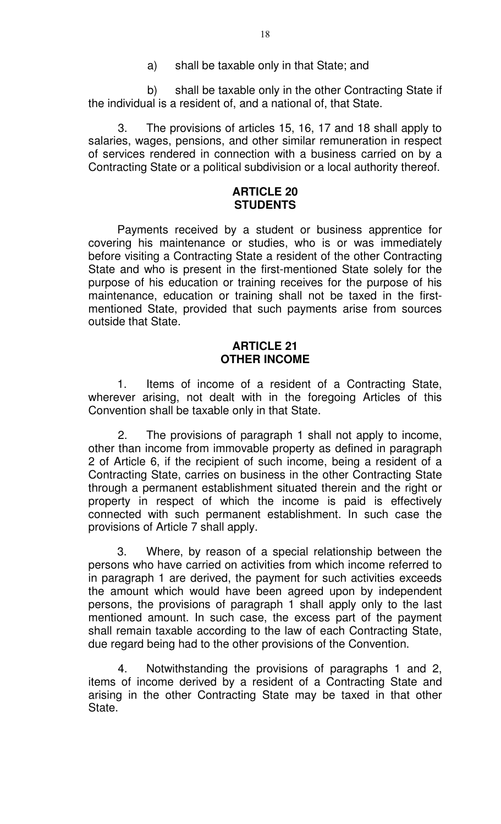a) shall be taxable only in that State; and

b) shall be taxable only in the other Contracting State if the individual is a resident of, and a national of, that State.

3. The provisions of articles 15, 16, 17 and 18 shall apply to salaries, wages, pensions, and other similar remuneration in respect of services rendered in connection with a business carried on by a Contracting State or a political subdivision or a local authority thereof.

## **ARTICLE 20 STUDENTS**

 Payments received by a student or business apprentice for covering his maintenance or studies, who is or was immediately before visiting a Contracting State a resident of the other Contracting State and who is present in the first-mentioned State solely for the purpose of his education or training receives for the purpose of his maintenance, education or training shall not be taxed in the firstmentioned State, provided that such payments arise from sources outside that State.

# **ARTICLE 21 OTHER INCOME**

 1. Items of income of a resident of a Contracting State, wherever arising, not dealt with in the foregoing Articles of this Convention shall be taxable only in that State.

2. The provisions of paragraph 1 shall not apply to income, other than income from immovable property as defined in paragraph 2 of Article 6, if the recipient of such income, being a resident of a Contracting State, carries on business in the other Contracting State through a permanent establishment situated therein and the right or property in respect of which the income is paid is effectively connected with such permanent establishment. In such case the provisions of Article 7 shall apply.

 3. Where, by reason of a special relationship between the persons who have carried on activities from which income referred to in paragraph 1 are derived, the payment for such activities exceeds the amount which would have been agreed upon by independent persons, the provisions of paragraph 1 shall apply only to the last mentioned amount. In such case, the excess part of the payment shall remain taxable according to the law of each Contracting State, due regard being had to the other provisions of the Convention.

4. Notwithstanding the provisions of paragraphs 1 and 2, items of income derived by a resident of a Contracting State and arising in the other Contracting State may be taxed in that other State.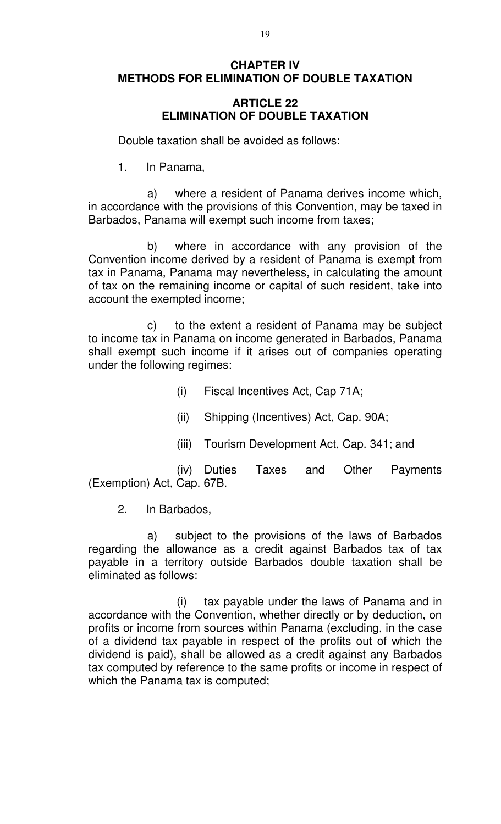# **CHAPTER IV METHODS FOR ELIMINATION OF DOUBLE TAXATION**

## **ARTICLE 22 ELIMINATION OF DOUBLE TAXATION**

Double taxation shall be avoided as follows:

1. In Panama,

a) where a resident of Panama derives income which, in accordance with the provisions of this Convention, may be taxed in Barbados, Panama will exempt such income from taxes;

b) where in accordance with any provision of the Convention income derived by a resident of Panama is exempt from tax in Panama, Panama may nevertheless, in calculating the amount of tax on the remaining income or capital of such resident, take into account the exempted income;

c) to the extent a resident of Panama may be subject to income tax in Panama on income generated in Barbados, Panama shall exempt such income if it arises out of companies operating under the following regimes:

- (i) Fiscal Incentives Act, Cap 71A;
- (ii) Shipping (Incentives) Act, Cap. 90A;
- (iii) Tourism Development Act, Cap. 341; and

(iv) Duties Taxes and Other Payments (Exemption) Act, Cap. 67B.

2. In Barbados,

a) subject to the provisions of the laws of Barbados regarding the allowance as a credit against Barbados tax of tax payable in a territory outside Barbados double taxation shall be eliminated as follows:

(i) tax payable under the laws of Panama and in accordance with the Convention, whether directly or by deduction, on profits or income from sources within Panama (excluding, in the case of a dividend tax payable in respect of the profits out of which the dividend is paid), shall be allowed as a credit against any Barbados tax computed by reference to the same profits or income in respect of which the Panama tax is computed;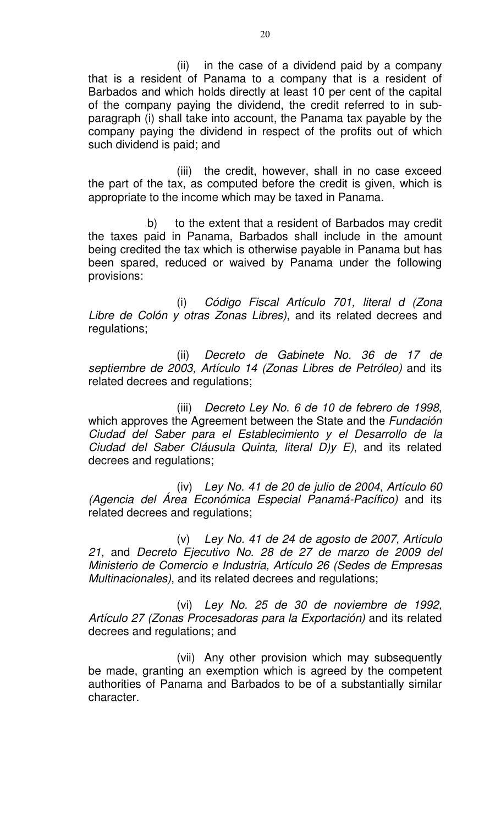(ii) in the case of a dividend paid by a company that is a resident of Panama to a company that is a resident of Barbados and which holds directly at least 10 per cent of the capital of the company paying the dividend, the credit referred to in subparagraph (i) shall take into account, the Panama tax payable by the company paying the dividend in respect of the profits out of which such dividend is paid; and

(iii) the credit, however, shall in no case exceed the part of the tax, as computed before the credit is given, which is appropriate to the income which may be taxed in Panama.

b) to the extent that a resident of Barbados may credit the taxes paid in Panama, Barbados shall include in the amount being credited the tax which is otherwise payable in Panama but has been spared, reduced or waived by Panama under the following provisions:

(i) Código Fiscal Artículo 701, literal d (Zona Libre de Colón y otras Zonas Libres), and its related decrees and regulations;

(ii) Decreto de Gabinete No. 36 de 17 de septiembre de 2003, Artículo 14 (Zonas Libres de Petróleo) and its related decrees and regulations;

(iii) Decreto Ley No. 6 de 10 de febrero de 1998, which approves the Agreement between the State and the *Fundación* Ciudad del Saber para el Establecimiento y el Desarrollo de la Ciudad del Saber Cláusula Quinta, literal D)y E), and its related decrees and regulations;

(iv) Ley No. 41 de 20 de julio de 2004, Artículo 60 (Agencia del Área Económica Especial Panamá-Pacífico) and its related decrees and regulations;

(v) Ley No. 41 de 24 de agosto de 2007, Artículo 21, and Decreto Ejecutivo No. 28 de 27 de marzo de 2009 del Ministerio de Comercio e Industria, Artículo 26 (Sedes de Empresas Multinacionales), and its related decrees and regulations;

(vi) Ley No. 25 de 30 de noviembre de 1992, Artículo 27 (Zonas Procesadoras para la Exportación) and its related decrees and regulations; and

(vii) Any other provision which may subsequently be made, granting an exemption which is agreed by the competent authorities of Panama and Barbados to be of a substantially similar character.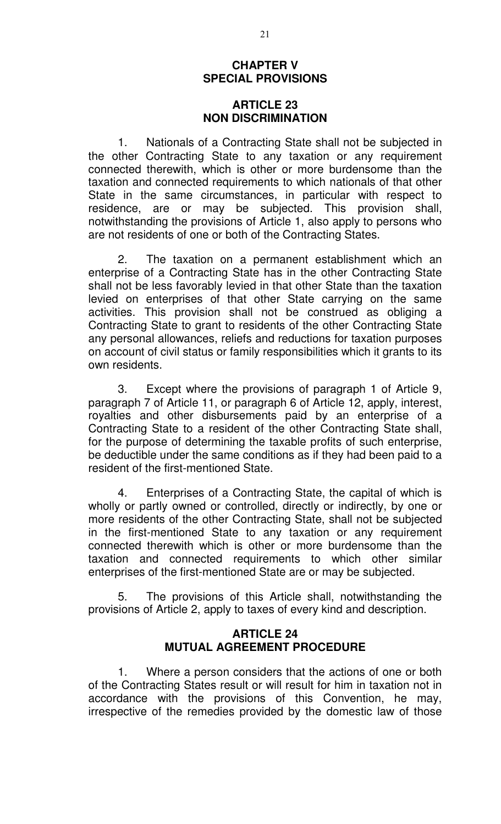#### **CHAPTER V SPECIAL PROVISIONS**

#### **ARTICLE 23 NON DISCRIMINATION**

1. Nationals of a Contracting State shall not be subjected in the other Contracting State to any taxation or any requirement connected therewith, which is other or more burdensome than the taxation and connected requirements to which nationals of that other State in the same circumstances, in particular with respect to residence, are or may be subjected. This provision shall, notwithstanding the provisions of Article 1, also apply to persons who are not residents of one or both of the Contracting States.

2. The taxation on a permanent establishment which an enterprise of a Contracting State has in the other Contracting State shall not be less favorably levied in that other State than the taxation levied on enterprises of that other State carrying on the same activities. This provision shall not be construed as obliging a Contracting State to grant to residents of the other Contracting State any personal allowances, reliefs and reductions for taxation purposes on account of civil status or family responsibilities which it grants to its own residents.

3. Except where the provisions of paragraph 1 of Article 9, paragraph 7 of Article 11, or paragraph 6 of Article 12, apply, interest, royalties and other disbursements paid by an enterprise of a Contracting State to a resident of the other Contracting State shall, for the purpose of determining the taxable profits of such enterprise, be deductible under the same conditions as if they had been paid to a resident of the first-mentioned State.

4. Enterprises of a Contracting State, the capital of which is wholly or partly owned or controlled, directly or indirectly, by one or more residents of the other Contracting State, shall not be subjected in the first-mentioned State to any taxation or any requirement connected therewith which is other or more burdensome than the taxation and connected requirements to which other similar enterprises of the first-mentioned State are or may be subjected.

5. The provisions of this Article shall, notwithstanding the provisions of Article 2, apply to taxes of every kind and description.

### **ARTICLE 24 MUTUAL AGREEMENT PROCEDURE**

1. Where a person considers that the actions of one or both of the Contracting States result or will result for him in taxation not in accordance with the provisions of this Convention, he may, irrespective of the remedies provided by the domestic law of those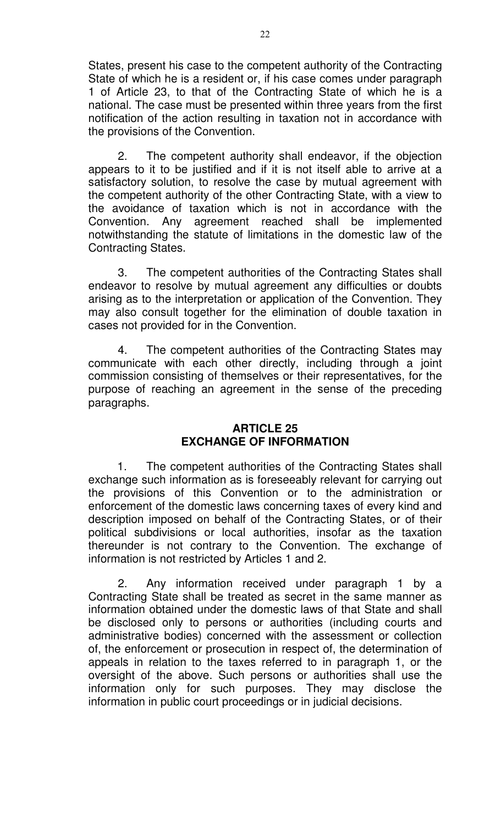States, present his case to the competent authority of the Contracting State of which he is a resident or, if his case comes under paragraph 1 of Article 23, to that of the Contracting State of which he is a national. The case must be presented within three years from the first notification of the action resulting in taxation not in accordance with the provisions of the Convention.

2. The competent authority shall endeavor, if the objection appears to it to be justified and if it is not itself able to arrive at a satisfactory solution, to resolve the case by mutual agreement with the competent authority of the other Contracting State, with a view to the avoidance of taxation which is not in accordance with the Convention. Any agreement reached shall be implemented notwithstanding the statute of limitations in the domestic law of the Contracting States.

3. The competent authorities of the Contracting States shall endeavor to resolve by mutual agreement any difficulties or doubts arising as to the interpretation or application of the Convention. They may also consult together for the elimination of double taxation in cases not provided for in the Convention.

4. The competent authorities of the Contracting States may communicate with each other directly, including through a joint commission consisting of themselves or their representatives, for the purpose of reaching an agreement in the sense of the preceding paragraphs.

# **ARTICLE 25 EXCHANGE OF INFORMATION**

 1. The competent authorities of the Contracting States shall exchange such information as is foreseeably relevant for carrying out the provisions of this Convention or to the administration or enforcement of the domestic laws concerning taxes of every kind and description imposed on behalf of the Contracting States, or of their political subdivisions or local authorities, insofar as the taxation thereunder is not contrary to the Convention. The exchange of information is not restricted by Articles 1 and 2.

2. Any information received under paragraph 1 by a Contracting State shall be treated as secret in the same manner as information obtained under the domestic laws of that State and shall be disclosed only to persons or authorities (including courts and administrative bodies) concerned with the assessment or collection of, the enforcement or prosecution in respect of, the determination of appeals in relation to the taxes referred to in paragraph 1, or the oversight of the above. Such persons or authorities shall use the information only for such purposes. They may disclose the information in public court proceedings or in judicial decisions.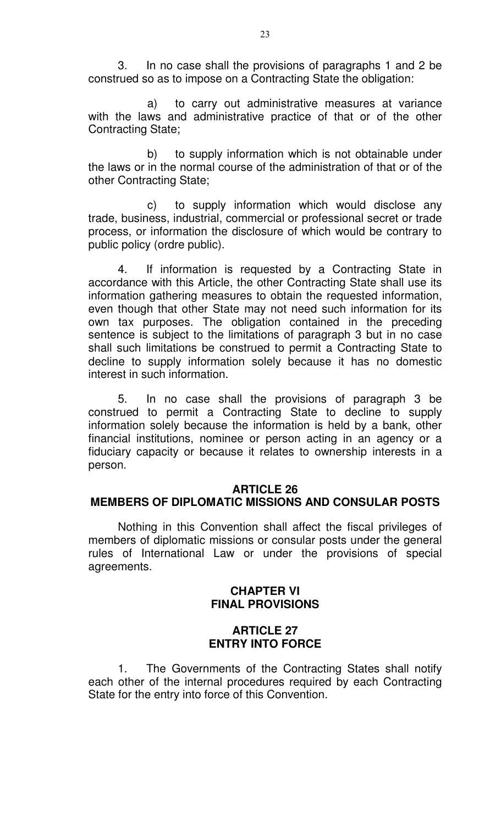3. In no case shall the provisions of paragraphs 1 and 2 be construed so as to impose on a Contracting State the obligation:

a) to carry out administrative measures at variance with the laws and administrative practice of that or of the other Contracting State;

b) to supply information which is not obtainable under the laws or in the normal course of the administration of that or of the other Contracting State;

c) to supply information which would disclose any trade, business, industrial, commercial or professional secret or trade process, or information the disclosure of which would be contrary to public policy (ordre public).

4. If information is requested by a Contracting State in accordance with this Article, the other Contracting State shall use its information gathering measures to obtain the requested information, even though that other State may not need such information for its own tax purposes. The obligation contained in the preceding sentence is subject to the limitations of paragraph 3 but in no case shall such limitations be construed to permit a Contracting State to decline to supply information solely because it has no domestic interest in such information.

5. In no case shall the provisions of paragraph 3 be construed to permit a Contracting State to decline to supply information solely because the information is held by a bank, other financial institutions, nominee or person acting in an agency or a fiduciary capacity or because it relates to ownership interests in a person.

#### **ARTICLE 26 MEMBERS OF DIPLOMATIC MISSIONS AND CONSULAR POSTS**

Nothing in this Convention shall affect the fiscal privileges of members of diplomatic missions or consular posts under the general rules of International Law or under the provisions of special agreements.

# **CHAPTER VI FINAL PROVISIONS**

# **ARTICLE 27 ENTRY INTO FORCE**

1. The Governments of the Contracting States shall notify each other of the internal procedures required by each Contracting State for the entry into force of this Convention.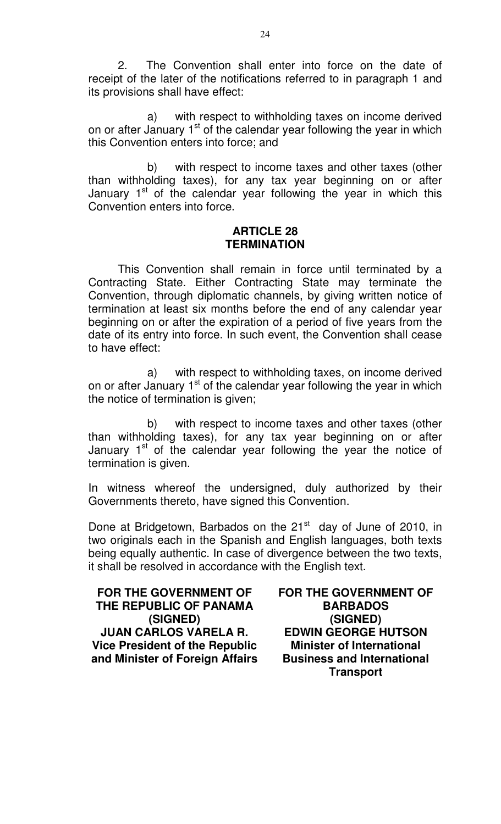2. The Convention shall enter into force on the date of receipt of the later of the notifications referred to in paragraph 1 and its provisions shall have effect:

a) with respect to withholding taxes on income derived on or after January 1<sup>st</sup> of the calendar year following the year in which this Convention enters into force; and

b) with respect to income taxes and other taxes (other than withholding taxes), for any tax year beginning on or after January  $1<sup>st</sup>$  of the calendar year following the year in which this Convention enters into force.

#### **ARTICLE 28 TERMINATION**

This Convention shall remain in force until terminated by a Contracting State. Either Contracting State may terminate the Convention, through diplomatic channels, by giving written notice of termination at least six months before the end of any calendar year beginning on or after the expiration of a period of five years from the date of its entry into force. In such event, the Convention shall cease to have effect:

a) with respect to withholding taxes, on income derived on or after January  $1<sup>st</sup>$  of the calendar year following the year in which the notice of termination is given;

b) with respect to income taxes and other taxes (other than withholding taxes), for any tax year beginning on or after January  $1<sup>st</sup>$  of the calendar year following the year the notice of termination is given.

In witness whereof the undersigned, duly authorized by their Governments thereto, have signed this Convention.

Done at Bridgetown, Barbados on the 21<sup>st</sup> day of June of 2010, in two originals each in the Spanish and English languages, both texts being equally authentic. In case of divergence between the two texts, it shall be resolved in accordance with the English text.

**FOR THE GOVERNMENT OF THE REPUBLIC OF PANAMA (SIGNED) JUAN CARLOS VARELA R. Vice President of the Republic and Minister of Foreign Affairs**  **FOR THE GOVERNMENT OF BARBADOS (SIGNED) EDWIN GEORGE HUTSON Minister of International Business and International Transport**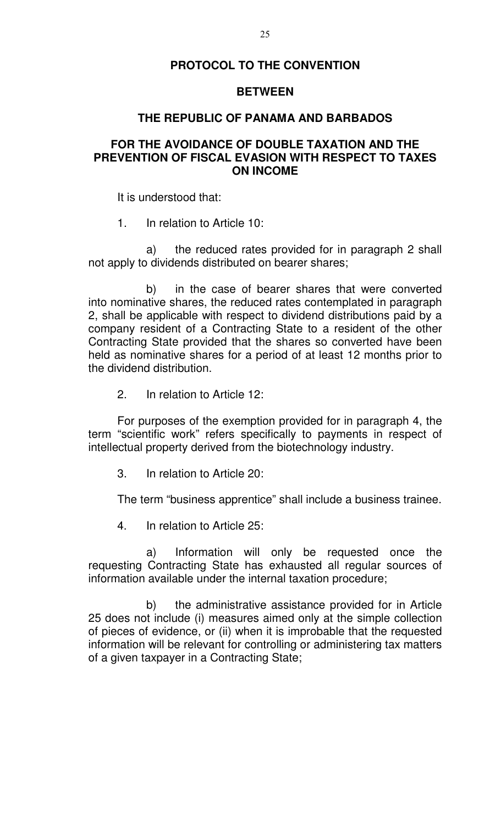# **PROTOCOL TO THE CONVENTION**

#### **BETWEEN**

#### **THE REPUBLIC OF PANAMA AND BARBADOS**

## **FOR THE AVOIDANCE OF DOUBLE TAXATION AND THE PREVENTION OF FISCAL EVASION WITH RESPECT TO TAXES ON INCOME**

It is understood that:

1. In relation to Article 10:

a) the reduced rates provided for in paragraph 2 shall not apply to dividends distributed on bearer shares;

b) in the case of bearer shares that were converted into nominative shares, the reduced rates contemplated in paragraph 2, shall be applicable with respect to dividend distributions paid by a company resident of a Contracting State to a resident of the other Contracting State provided that the shares so converted have been held as nominative shares for a period of at least 12 months prior to the dividend distribution.

2. In relation to Article 12:

For purposes of the exemption provided for in paragraph 4, the term "scientific work" refers specifically to payments in respect of intellectual property derived from the biotechnology industry.

3. In relation to Article 20:

The term "business apprentice" shall include a business trainee.

4. In relation to Article 25:

a) Information will only be requested once the requesting Contracting State has exhausted all regular sources of information available under the internal taxation procedure;

b) the administrative assistance provided for in Article 25 does not include (i) measures aimed only at the simple collection of pieces of evidence, or (ii) when it is improbable that the requested information will be relevant for controlling or administering tax matters of a given taxpayer in a Contracting State;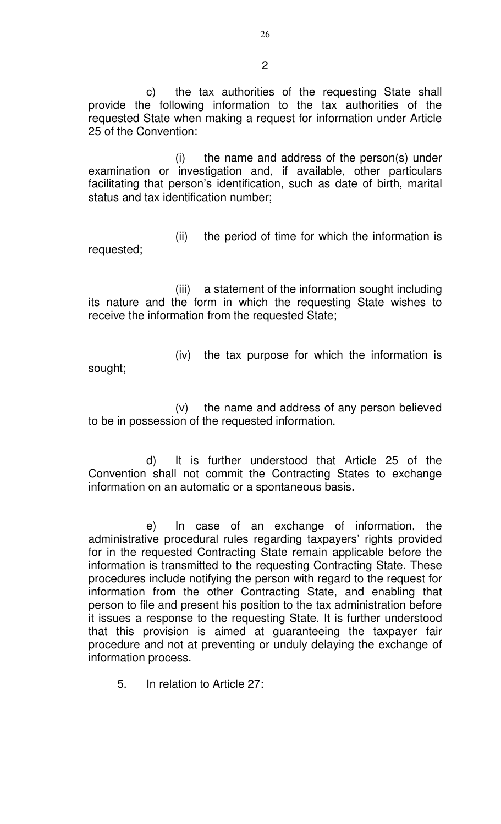c) the tax authorities of the requesting State shall provide the following information to the tax authorities of the requested State when making a request for information under Article 25 of the Convention:

(i) the name and address of the person(s) under examination or investigation and, if available, other particulars facilitating that person's identification, such as date of birth, marital status and tax identification number;

(ii) the period of time for which the information is requested;

(iii) a statement of the information sought including its nature and the form in which the requesting State wishes to receive the information from the requested State;

sought;

(iv) the tax purpose for which the information is

(v) the name and address of any person believed to be in possession of the requested information.

d) It is further understood that Article 25 of the Convention shall not commit the Contracting States to exchange information on an automatic or a spontaneous basis.

e) In case of an exchange of information, the administrative procedural rules regarding taxpayers' rights provided for in the requested Contracting State remain applicable before the information is transmitted to the requesting Contracting State. These procedures include notifying the person with regard to the request for information from the other Contracting State, and enabling that person to file and present his position to the tax administration before it issues a response to the requesting State. It is further understood that this provision is aimed at guaranteeing the taxpayer fair procedure and not at preventing or unduly delaying the exchange of information process.

5. In relation to Article 27:

2